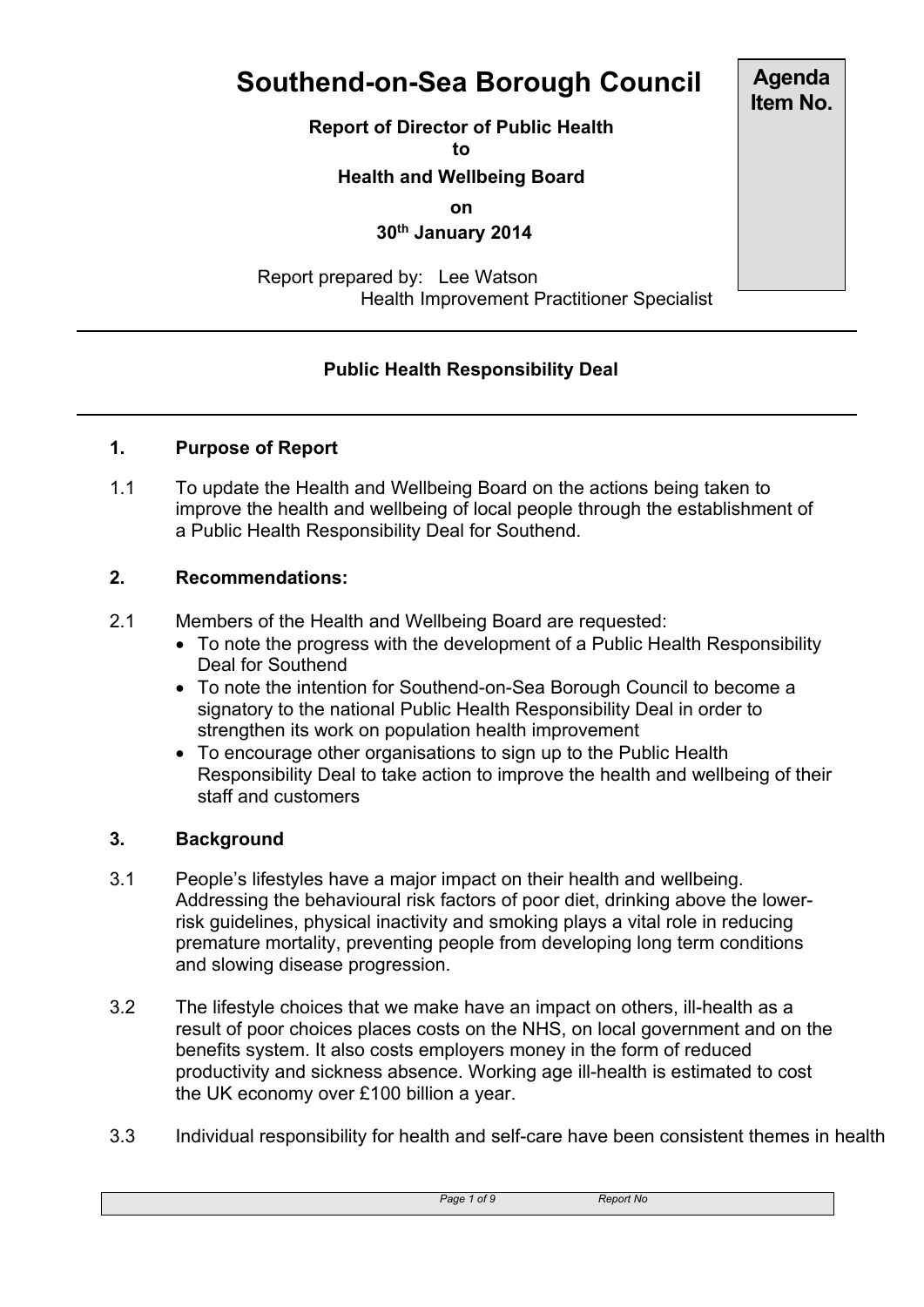# **Southend-on-Sea Borough Council**

**Report of Director of Public Health**

**to**

# **Health and Wellbeing Board**

**on**

 **30th January 2014**

 Report prepared by: Lee Watson Health Improvement Practitioner Specialist

# **Public Health Responsibility Deal**

#### **1. Purpose of Report**

1.1 To update the Health and Wellbeing Board on the actions being taken to improve the health and wellbeing of local people through the establishment of a Public Health Responsibility Deal for Southend.

#### **2. Recommendations:**

- 2.1 Members of the Health and Wellbeing Board are requested:
	- To note the progress with the development of a Public Health Responsibility Deal for Southend
	- To note the intention for Southend-on-Sea Borough Council to become a signatory to the national Public Health Responsibility Deal in order to strengthen its work on population health improvement
	- To encourage other organisations to sign up to the Public Health Responsibility Deal to take action to improve the health and wellbeing of their staff and customers

#### **3. Background**

- 3.1 People's lifestyles have a major impact on their health and wellbeing. Addressing the behavioural risk factors of poor diet, drinking above the lowerrisk guidelines, physical inactivity and smoking plays a vital role in reducing premature mortality, preventing people from developing long term conditions and slowing disease progression.
- 3.2 The lifestyle choices that we make have an impact on others, ill-health as a result of poor choices places costs on the NHS, on local government and on the benefits system. It also costs employers money in the form of reduced productivity and sickness absence. Working age ill-health is estimated to cost the UK economy over £100 billion a year.
- 3.3 Individual responsibility for health and self-care have been consistent themes in health

*Page 1 of 9 Report No*

**Agenda Item No.**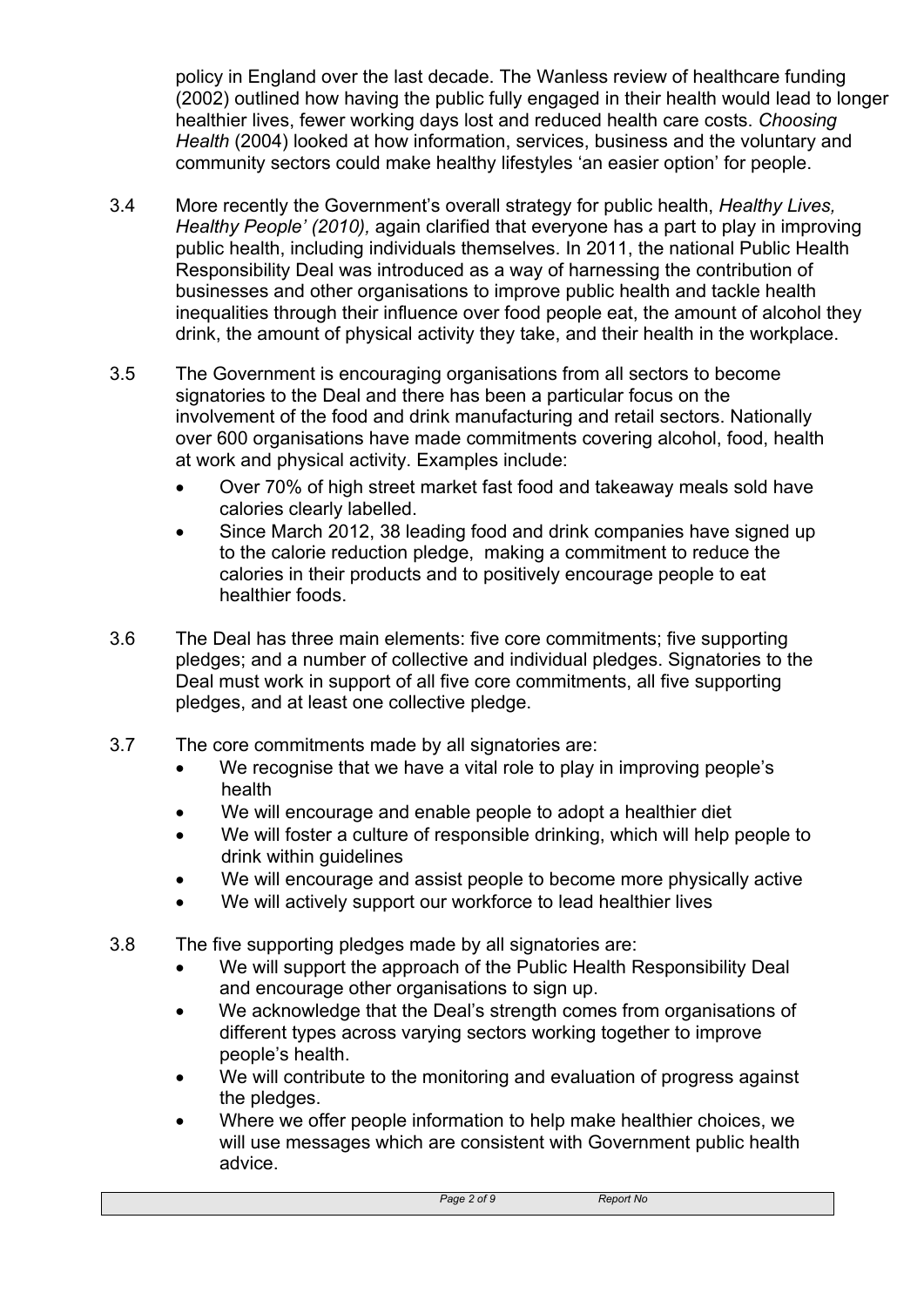policy in England over the last decade. The Wanless review of healthcare funding (2002) outlined how having the public fully engaged in their health would lead to longer healthier lives, fewer working days lost and reduced health care costs. *Choosing Health* (2004) looked at how information, services, business and the voluntary and community sectors could make healthy lifestyles 'an easier option' for people.

- 3.4 More recently the Government's overall strategy for public health, *Healthy Lives, Healthy People' (2010),* again clarified that everyone has a part to play in improving public health, including individuals themselves. In 2011, the national Public Health Responsibility Deal was introduced as a way of harnessing the contribution of businesses and other organisations to improve public health and tackle health inequalities through their influence over food people eat, the amount of alcohol they drink, the amount of physical activity they take, and their health in the workplace.
- 3.5 The Government is encouraging organisations from all sectors to become signatories to the Deal and there has been a particular focus on the involvement of the food and drink manufacturing and retail sectors. Nationally over 600 organisations have made commitments covering alcohol, food, health at work and physical activity. Examples include:
	- Over 70% of high street market fast food and takeaway meals sold have calories clearly labelled.
	- Since March 2012, 38 leading food and drink companies have signed up to the calorie reduction pledge, making a commitment to reduce the calories in their products and to positively encourage people to eat healthier foods.
- 3.6 The Deal has three main elements: five core commitments; five supporting pledges; and a number of collective and individual pledges. Signatories to the Deal must work in support of all five core commitments, all five supporting pledges, and at least one collective pledge.
- 3.7 The core commitments made by all signatories are:
	- We recognise that we have a vital role to play in improving people's health
	- We will encourage and enable people to adopt a healthier diet
	- We will foster a culture of responsible drinking, which will help people to drink within guidelines
	- We will encourage and assist people to become more physically active
	- We will actively support our workforce to lead healthier lives
- 3.8 The five supporting pledges made by all signatories are:
	- We will support the approach of the Public Health Responsibility Deal and encourage other organisations to sign up.
	- We acknowledge that the Deal's strength comes from organisations of different types across varying sectors working together to improve people's health.
	- We will contribute to the monitoring and evaluation of progress against the pledges.
	- Where we offer people information to help make healthier choices, we will use messages which are consistent with Government public health advice.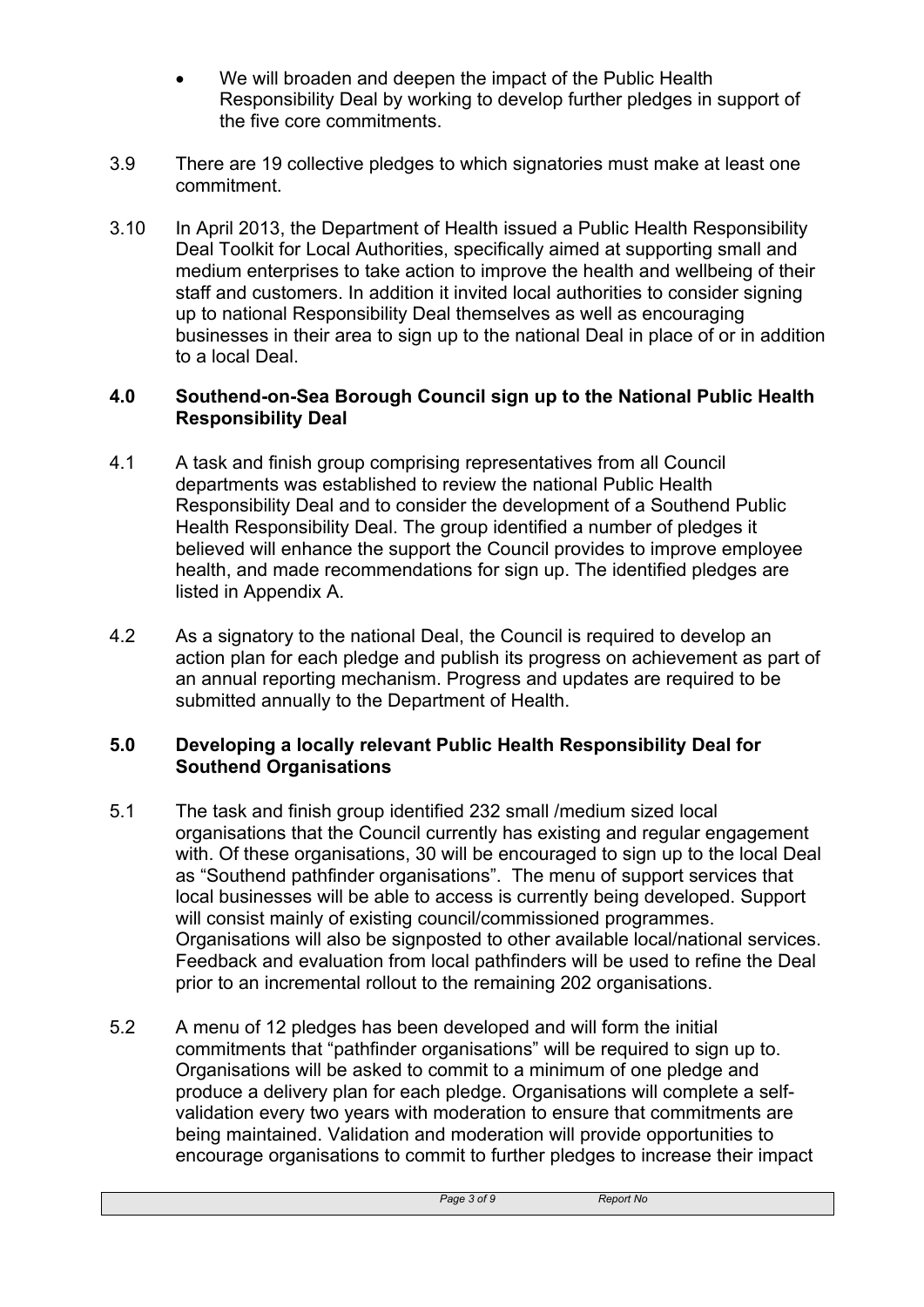- We will broaden and deepen the impact of the Public Health Responsibility Deal by working to develop further pledges in support of the five core commitments.
- 3.9 There are 19 collective pledges to which signatories must make at least one commitment.
- 3.10 In April 2013, the Department of Health issued a Public Health Responsibility Deal Toolkit for Local Authorities, specifically aimed at supporting small and medium enterprises to take action to improve the health and wellbeing of their staff and customers. In addition it invited local authorities to consider signing up to national Responsibility Deal themselves as well as encouraging businesses in their area to sign up to the national Deal in place of or in addition to a local Deal.

#### **4.0 Southend-on-Sea Borough Council sign up to the National Public Health Responsibility Deal**

- 4.1 A task and finish group comprising representatives from all Council departments was established to review the national Public Health Responsibility Deal and to consider the development of a Southend Public Health Responsibility Deal. The group identified a number of pledges it believed will enhance the support the Council provides to improve employee health, and made recommendations for sign up. The identified pledges are listed in Appendix A.
- 4.2 As a signatory to the national Deal, the Council is required to develop an action plan for each pledge and publish its progress on achievement as part of an annual reporting mechanism. Progress and updates are required to be submitted annually to the Department of Health.

#### **5.0 Developing a locally relevant Public Health Responsibility Deal for Southend Organisations**

- 5.1 The task and finish group identified 232 small /medium sized local organisations that the Council currently has existing and regular engagement with. Of these organisations, 30 will be encouraged to sign up to the local Deal as "Southend pathfinder organisations". The menu of support services that local businesses will be able to access is currently being developed. Support will consist mainly of existing council/commissioned programmes. Organisations will also be signposted to other available local/national services. Feedback and evaluation from local pathfinders will be used to refine the Deal prior to an incremental rollout to the remaining 202 organisations.
- 5.2 A menu of 12 pledges has been developed and will form the initial commitments that "pathfinder organisations" will be required to sign up to. Organisations will be asked to commit to a minimum of one pledge and produce a delivery plan for each pledge. Organisations will complete a selfvalidation every two years with moderation to ensure that commitments are being maintained. Validation and moderation will provide opportunities to encourage organisations to commit to further pledges to increase their impact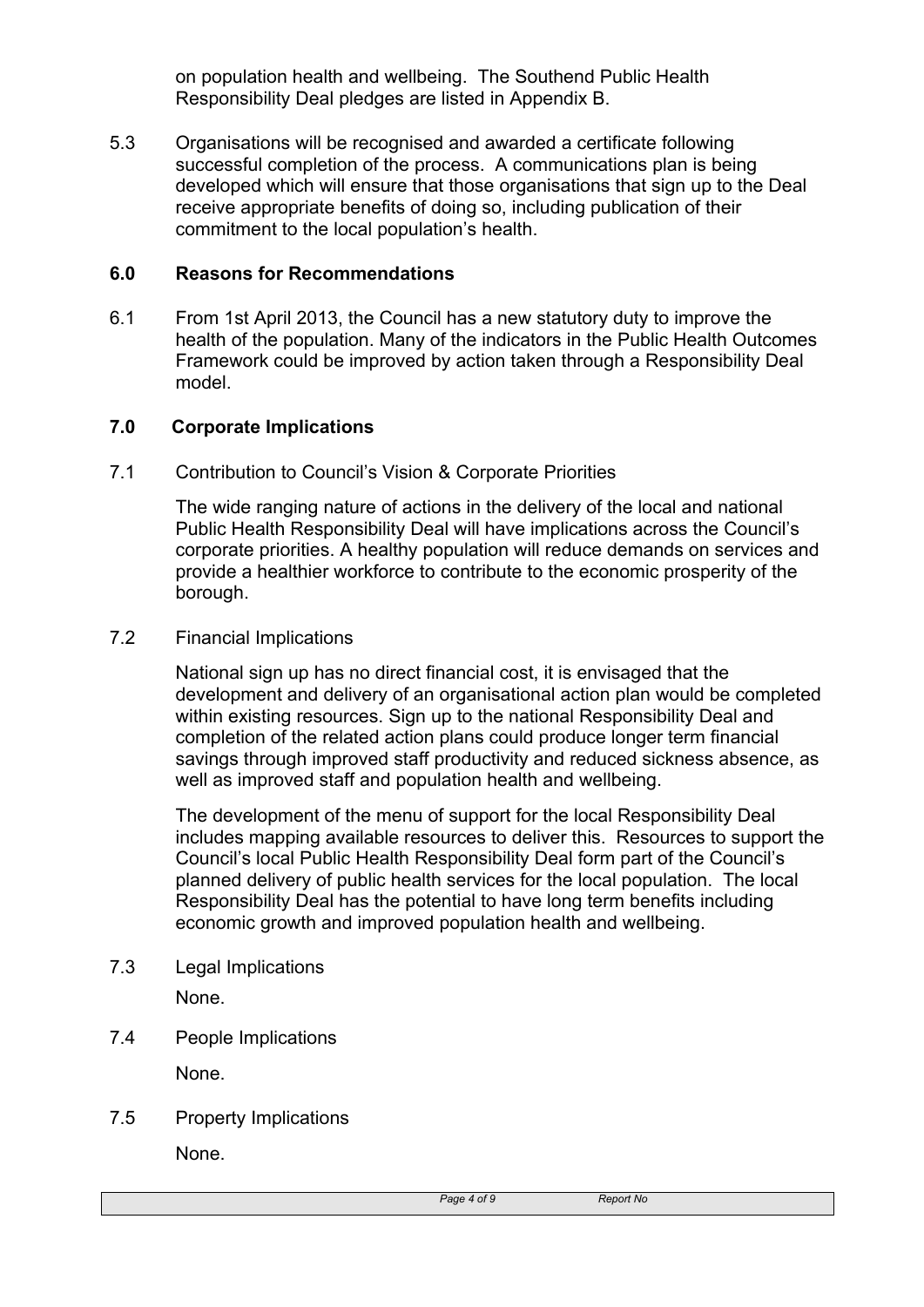on population health and wellbeing. The Southend Public Health Responsibility Deal pledges are listed in Appendix B.

5.3 Organisations will be recognised and awarded a certificate following successful completion of the process. A communications plan is being developed which will ensure that those organisations that sign up to the Deal receive appropriate benefits of doing so, including publication of their commitment to the local population's health.

#### **6.0 Reasons for Recommendations**

6.1 From 1st April 2013, the Council has a new statutory duty to improve the health of the population. Many of the indicators in the Public Health Outcomes Framework could be improved by action taken through a Responsibility Deal model.

#### **7.0 Corporate Implications**

7.1 Contribution to Council's Vision & Corporate Priorities

The wide ranging nature of actions in the delivery of the local and national Public Health Responsibility Deal will have implications across the Council's corporate priorities. A healthy population will reduce demands on services and provide a healthier workforce to contribute to the economic prosperity of the borough.

7.2 Financial Implications

National sign up has no direct financial cost, it is envisaged that the development and delivery of an organisational action plan would be completed within existing resources. Sign up to the national Responsibility Deal and completion of the related action plans could produce longer term financial savings through improved staff productivity and reduced sickness absence, as well as improved staff and population health and wellbeing.

The development of the menu of support for the local Responsibility Deal includes mapping available resources to deliver this. Resources to support the Council's local Public Health Responsibility Deal form part of the Council's planned delivery of public health services for the local population. The local Responsibility Deal has the potential to have long term benefits including economic growth and improved population health and wellbeing.

7.3 Legal Implications

None.

7.4 People Implications

None.

7.5 Property Implications

None.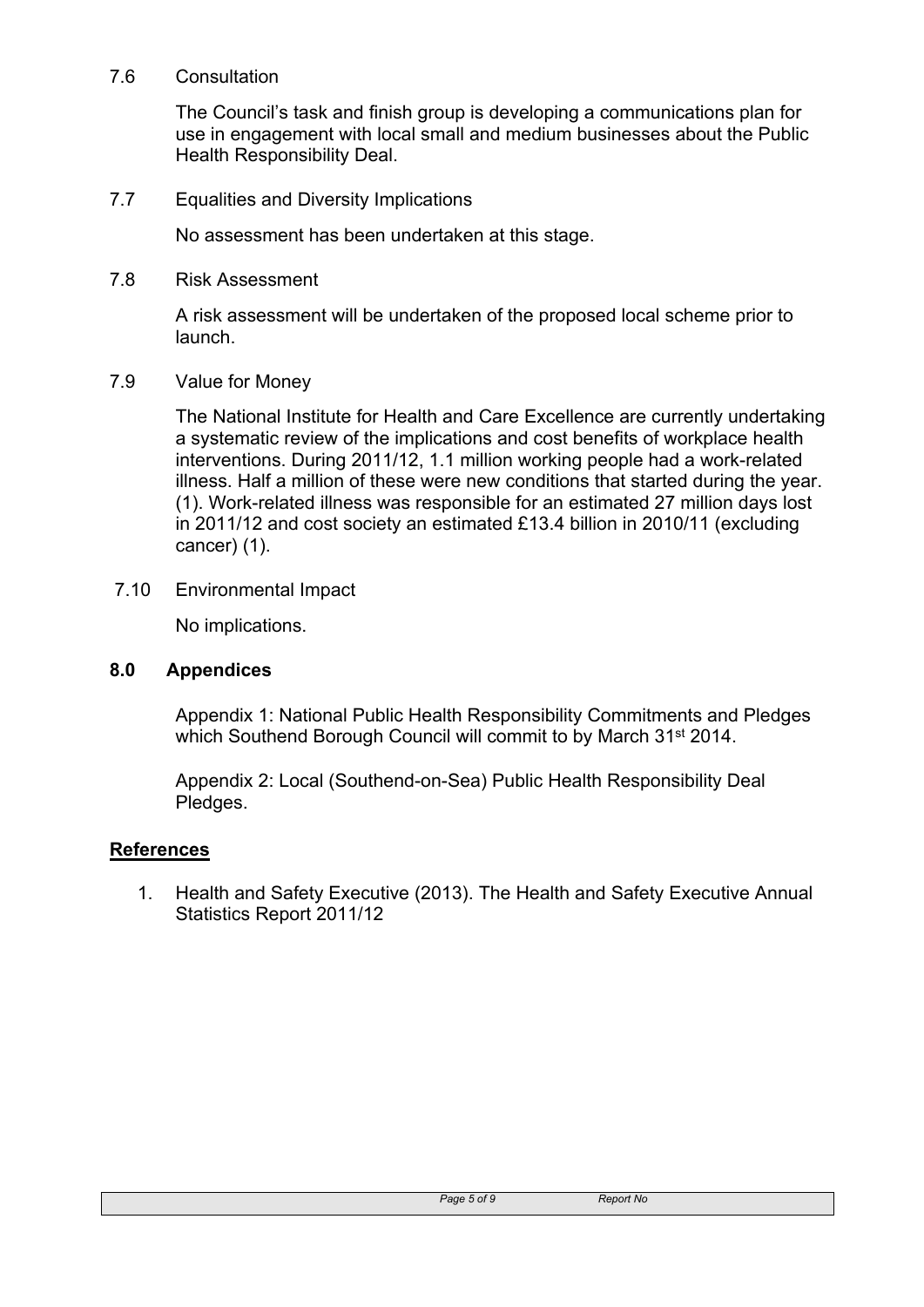#### 7.6 Consultation

The Council's task and finish group is developing a communications plan for use in engagement with local small and medium businesses about the Public Health Responsibility Deal.

7.7 Equalities and Diversity Implications

No assessment has been undertaken at this stage.

7.8 Risk Assessment

A risk assessment will be undertaken of the proposed local scheme prior to launch.

7.9 Value for Money

The National Institute for Health and Care Excellence are currently undertaking a systematic review of the implications and cost benefits of workplace health interventions. During 2011/12, 1.1 million working people had a work-related illness. Half a million of these were new conditions that started during the year. (1). Work-related illness was responsible for an estimated 27 million days lost in 2011/12 and cost society an estimated £13.4 billion in 2010/11 (excluding cancer) (1).

7.10 Environmental Impact

No implications.

#### **8.0 Appendices**

Appendix 1: National Public Health Responsibility Commitments and Pledges which Southend Borough Council will commit to by March 31<sup>st</sup> 2014.

Appendix 2: Local (Southend-on-Sea) Public Health Responsibility Deal Pledges.

## **References**

1. Health and Safety Executive (2013). The Health and Safety Executive Annual Statistics Report 2011/12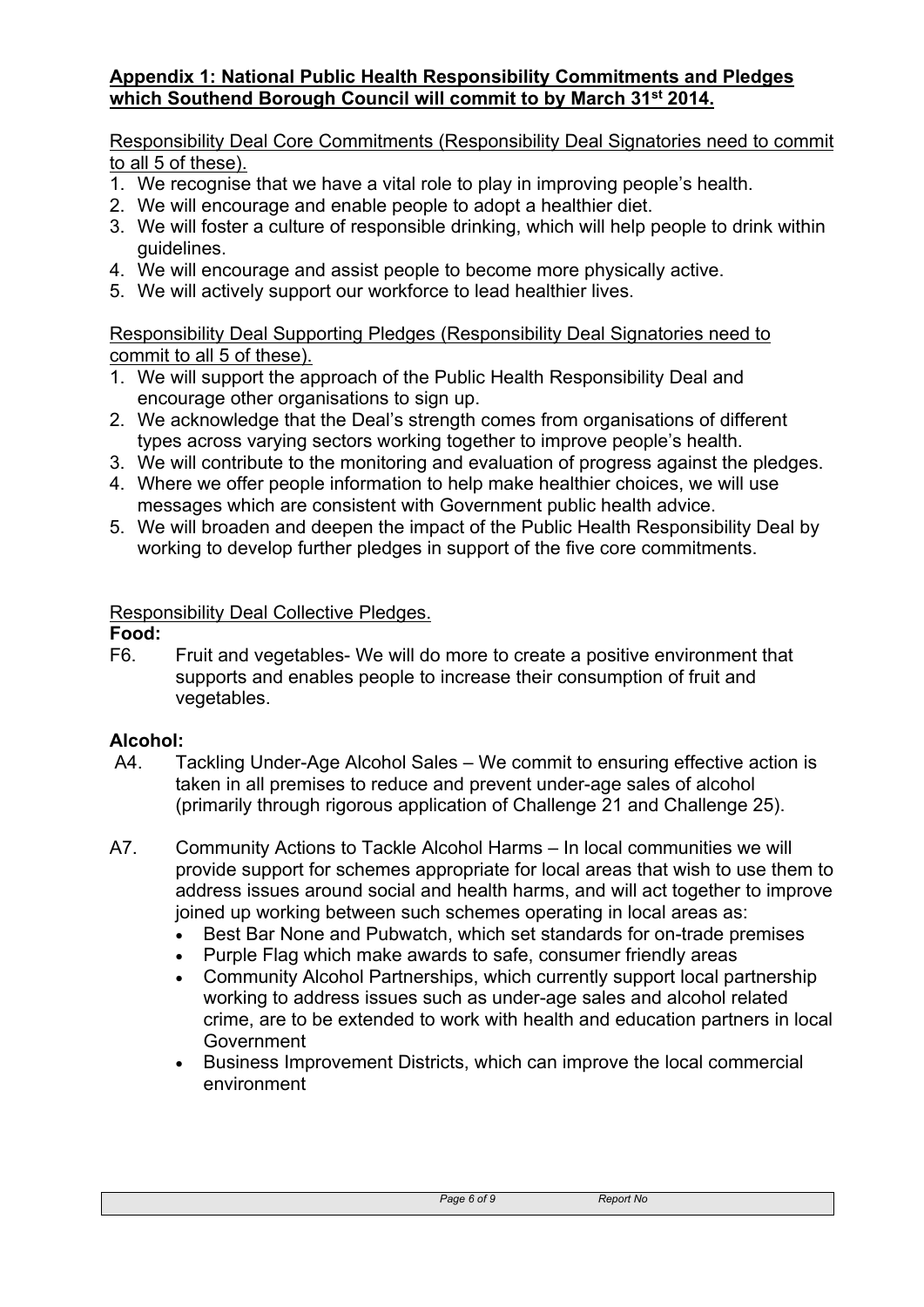## **Appendix 1: National Public Health Responsibility Commitments and Pledges which Southend Borough Council will commit to by March 31st 2014.**

#### Responsibility Deal Core Commitments (Responsibility Deal Signatories need to commit to all 5 of these).

- 1. We recognise that we have a vital role to play in improving people's health.
- 2. We will encourage and enable people to adopt a healthier diet.
- 3. We will foster a culture of responsible drinking, which will help people to drink within guidelines.
- 4. We will encourage and assist people to become more physically active.
- 5. We will actively support our workforce to lead healthier lives.

Responsibility Deal Supporting Pledges (Responsibility Deal Signatories need to commit to all 5 of these).

- 1. We will support the approach of the Public Health Responsibility Deal and encourage other organisations to sign up.
- 2. We acknowledge that the Deal's strength comes from organisations of different types across varying sectors working together to improve people's health.
- 3. We will contribute to the monitoring and evaluation of progress against the pledges.
- 4. Where we offer people information to help make healthier choices, we will use messages which are consistent with Government public health advice.
- 5. We will broaden and deepen the impact of the Public Health Responsibility Deal by working to develop further pledges in support of the five core commitments.

## Responsibility Deal Collective Pledges.

## **Food:**

F6. Fruit and vegetables- We will do more to create a positive environment that supports and enables people to increase their consumption of fruit and vegetables.

## **Alcohol:**

- A4. Tackling Under-Age Alcohol Sales We commit to ensuring effective action is taken in all premises to reduce and prevent under-age sales of alcohol (primarily through rigorous application of Challenge 21 and Challenge 25).
- A7. Community Actions to Tackle Alcohol Harms In local communities we will provide support for schemes appropriate for local areas that wish to use them to address issues around social and health harms, and will act together to improve joined up working between such schemes operating in local areas as:
	- Best Bar None and Pubwatch, which set standards for on-trade premises
	- Purple Flag which make awards to safe, consumer friendly areas
	- Community Alcohol Partnerships, which currently support local partnership working to address issues such as under-age sales and alcohol related crime, are to be extended to work with health and education partners in local **Government**
	- Business Improvement Districts, which can improve the local commercial environment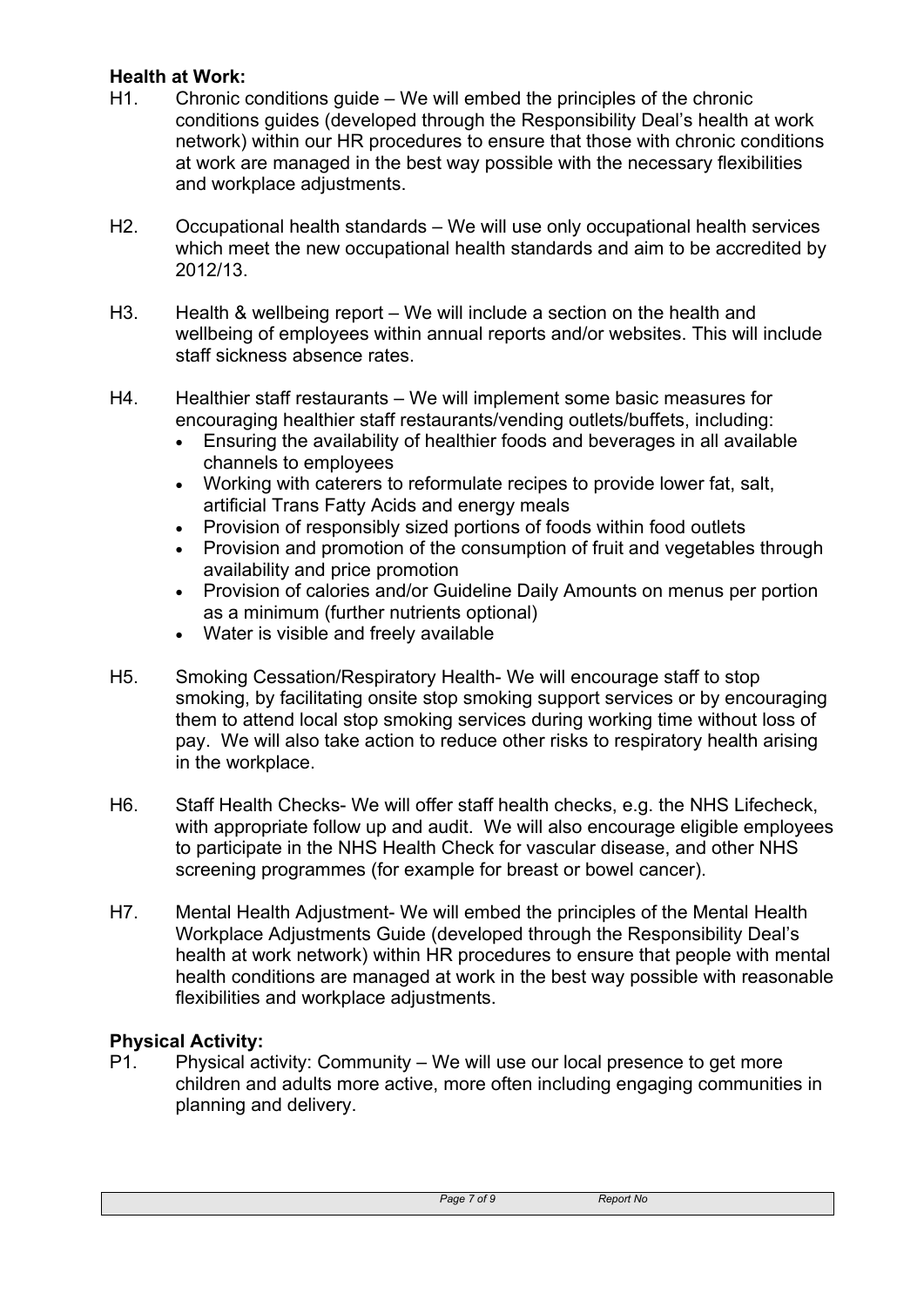# **Health at Work:**

- H1. Chronic conditions guide We will embed the principles of the chronic conditions guides (developed through the Responsibility Deal's health at work network) within our HR procedures to ensure that those with chronic conditions at work are managed in the best way possible with the necessary flexibilities and workplace adjustments.
- H2. Occupational health standards We will use only occupational health services which meet the new occupational health standards and aim to be accredited by 2012/13.
- H3. Health & wellbeing report We will include a section on the health and wellbeing of employees within annual reports and/or websites. This will include staff sickness absence rates.
- H4. Healthier staff restaurants We will implement some basic measures for encouraging healthier staff restaurants/vending outlets/buffets, including:
	- Ensuring the availability of healthier foods and beverages in all available channels to employees
	- Working with caterers to reformulate recipes to provide lower fat, salt, artificial Trans Fatty Acids and energy meals
	- Provision of responsibly sized portions of foods within food outlets
	- Provision and promotion of the consumption of fruit and vegetables through availability and price promotion
	- Provision of calories and/or Guideline Daily Amounts on menus per portion as a minimum (further nutrients optional)
	- Water is visible and freely available
- H5. Smoking Cessation/Respiratory Health- We will encourage staff to stop smoking, by facilitating onsite stop smoking support services or by encouraging them to attend local stop smoking services during working time without loss of pay. We will also take action to reduce other risks to respiratory health arising in the workplace.
- H6. Staff Health Checks- We will offer staff health checks, e.g. the NHS Lifecheck, with appropriate follow up and audit. We will also encourage eligible employees to participate in the NHS Health Check for vascular disease, and other NHS screening programmes (for example for breast or bowel cancer).
- H7. Mental Health Adjustment- We will embed the principles of the Mental Health Workplace Adjustments Guide (developed through the Responsibility Deal's health at work network) within HR procedures to ensure that people with mental health conditions are managed at work in the best way possible with reasonable flexibilities and workplace adjustments.

## **Physical Activity:**

P1. Physical activity: Community – We will use our local presence to get more children and adults more active, more often including engaging communities in planning and delivery.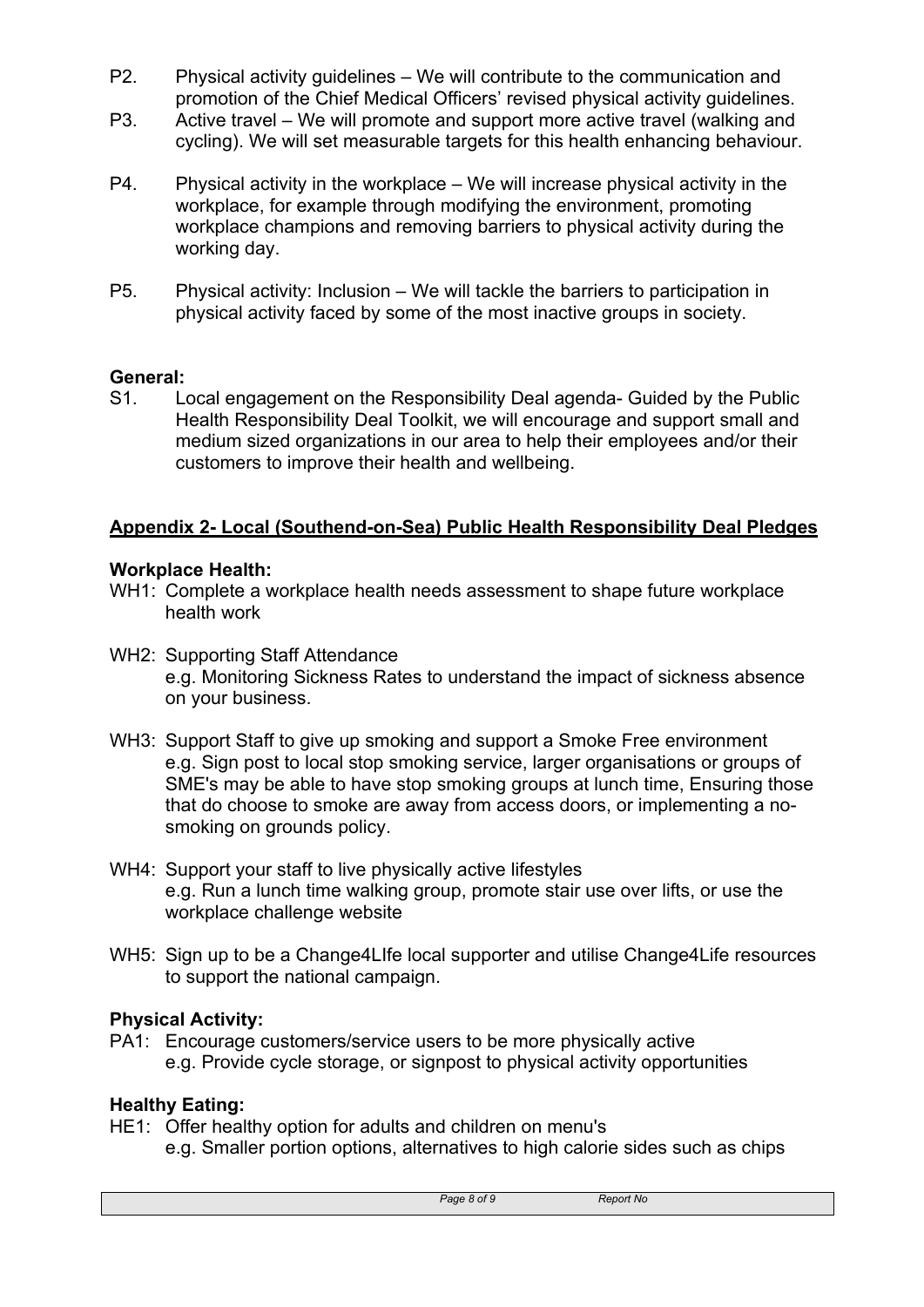- P2. Physical activity guidelines We will contribute to the communication and promotion of the Chief Medical Officers' revised physical activity guidelines.
- P3. Active travel We will promote and support more active travel (walking and cycling). We will set measurable targets for this health enhancing behaviour.
- P4. Physical activity in the workplace We will increase physical activity in the workplace, for example through modifying the environment, promoting workplace champions and removing barriers to physical activity during the working day.
- P5. Physical activity: Inclusion We will tackle the barriers to participation in physical activity faced by some of the most inactive groups in society.

## **General:**

S1. Local engagement on the Responsibility Deal agenda- Guided by the Public Health Responsibility Deal Toolkit, we will encourage and support small and medium sized organizations in our area to help their employees and/or their customers to improve their health and wellbeing.

# **Appendix 2- Local (Southend-on-Sea) Public Health Responsibility Deal Pledges**

#### **Workplace Health:**

- WH1: Complete a workplace health needs assessment to shape future workplace health work
- WH2: Supporting Staff Attendance e.g. Monitoring Sickness Rates to understand the impact of sickness absence on your business.
- WH3: Support Staff to give up smoking and support a Smoke Free environment e.g. Sign post to local stop smoking service, larger organisations or groups of SME's may be able to have stop smoking groups at lunch time, Ensuring those that do choose to smoke are away from access doors, or implementing a nosmoking on grounds policy.
- WH4: Support your staff to live physically active lifestyles e.g. Run a lunch time walking group, promote stair use over lifts, or use the workplace challenge website
- WH5: Sign up to be a Change4LIfe local supporter and utilise Change4Life resources to support the national campaign.

## **Physical Activity:**

PA1: Encourage customers/service users to be more physically active e.g. Provide cycle storage, or signpost to physical activity opportunities

## **Healthy Eating:**

HE1: Offer healthy option for adults and children on menu's e.g. Smaller portion options, alternatives to high calorie sides such as chips

*Page 8 of 9 Report No*